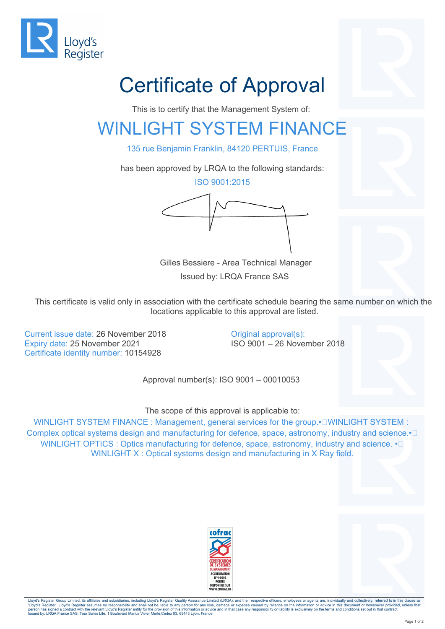

## Certificate of Approval

This is to certify that the Management System of:

## WINLIGHT SYSTEM FINANCE

135 rue Benjamin Franklin, 84120 PERTUIS, France

has been approved by LRQA to the following standards:

ISO 9001:2015



 Gilles Bessiere - Area Technical Manager Issued by: LRQA France SAS

This certificate is valid only in association with the certificate schedule bearing the same number on which the locations applicable to this approval are listed.

Current issue date: 26 November 2018 Expiry date: 25 November 2021 Certificate identity number: 10154928

Original approval(s): ISO 9001 – 26 November 2018

Approval number(s): ISO 9001 – 00010053

The scope of this approval is applicable to:

WINLIGHT SYSTEM FINANCE : Management, general services for the group. · I WINLIGHT SYSTEM : Complex optical systems design and manufacturing for defence, space, astronomy, industry and science. <sup>I</sup> WINLIGHT OPTICS : Optics manufacturing for defence, space, astronomy, industry and science.  $\cdot \Box$ WINLIGHT X : Optical systems design and manufacturing in X Ray field.





Lloyd's Register Group Limited, its affiliates and subsidiaries, including Lloyd's Register Quality Assurance Limited (LRQA), and their respective officers, employees or agents are, individually and collectively, referred